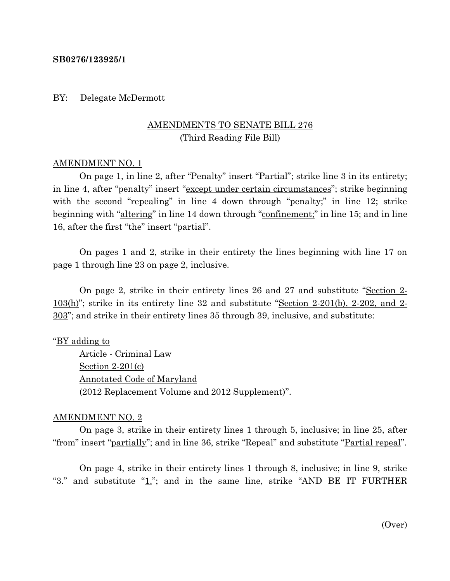### **SB0276/123925/1**

## BY: Delegate McDermott

# AMENDMENTS TO SENATE BILL 276 (Third Reading File Bill)

## AMENDMENT NO. 1

On page 1, in line 2, after "Penalty" insert "Partial"; strike line 3 in its entirety; in line 4, after "penalty" insert "except under certain circumstances"; strike beginning with the second "repealing" in line 4 down through "penalty;" in line 12; strike beginning with "altering" in line 14 down through "confinement;" in line 15; and in line 16, after the first "the" insert "partial".

On pages 1 and 2, strike in their entirety the lines beginning with line 17 on page 1 through line 23 on page 2, inclusive.

On page 2, strike in their entirety lines 26 and 27 and substitute "Section 2- 103(h)"; strike in its entirety line 32 and substitute "Section 2-201(b), 2-202, and 2- 303"; and strike in their entirety lines 35 through 39, inclusive, and substitute:

#### "<u>BY adding to</u>

Article - Criminal Law Section 2-201(c) Annotated Code of Maryland (2012 Replacement Volume and 2012 Supplement)".

#### AMENDMENT NO. 2

On page 3, strike in their entirety lines 1 through 5, inclusive; in line 25, after "from" insert "<u>partially</u>"; and in line 36, strike "Repeal" and substitute "<u>Partial repeal</u>".

On page 4, strike in their entirety lines 1 through 8, inclusive; in line 9, strike "3." and substitute "1."; and in the same line, strike "AND BE IT FURTHER

(Over)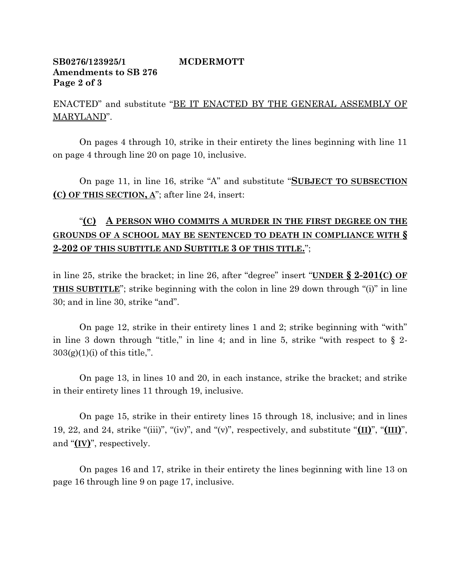# **SB0276/123925/1 MCDERMOTT Amendments to SB 276 Page 2 of 3**

ENACTED" and substitute "BE IT ENACTED BY THE GENERAL ASSEMBLY OF MARYLAND".

On pages 4 through 10, strike in their entirety the lines beginning with line 11 on page 4 through line 20 on page 10, inclusive.

On page 11, in line 16, strike "A" and substitute "**SUBJECT TO SUBSECTION (C) OF THIS SECTION, A**"; after line 24, insert:

# "**(C) A PERSON WHO COMMITS A MURDER IN THE FIRST DEGREE ON THE GROUNDS OF A SCHOOL MAY BE SENTENCED TO DEATH IN COMPLIANCE WITH § 2-202 OF THIS SUBTITLE AND SUBTITLE 3 OF THIS TITLE.**";

in line 25, strike the bracket; in line 26, after "degree" insert "**UNDER § 2-201(C) OF THIS SUBTITLE**"; strike beginning with the colon in line 29 down through "(i)" in line 30; and in line 30, strike "and".

On page 12, strike in their entirety lines 1 and 2; strike beginning with "with" in line 3 down through "title," in line 4; and in line 5, strike "with respect to  $\S$  2- $303(g)(1)(i)$  of this title,".

On page 13, in lines 10 and 20, in each instance, strike the bracket; and strike in their entirety lines 11 through 19, inclusive.

On page 15, strike in their entirety lines 15 through 18, inclusive; and in lines 19, 22, and 24, strike "(iii)", "(iv)", and "(v)", respectively, and substitute "**(II)**", "**(III)**", and "**(IV)**", respectively.

On pages 16 and 17, strike in their entirety the lines beginning with line 13 on page 16 through line 9 on page 17, inclusive.